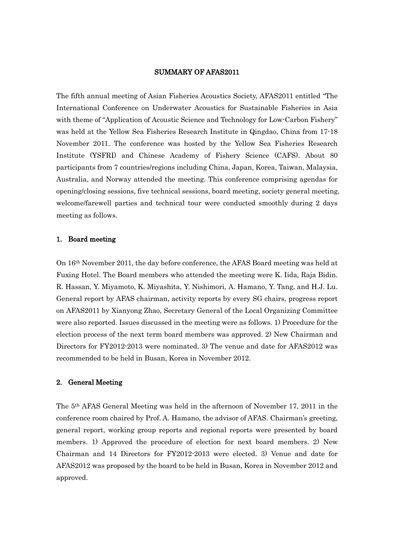### SUMMARY OF AFAS2011

The fifth annual meeting of Asian Fisheries Acoustics Society, AFAS2011 entitled "The International Conference on Underwater Acoustics for Sustainable Fisheries in Asia with theme of "Application of Acoustic Science and Technology for Low-Carbon Fishery" was held at the Yellow Sea Fisheries Research Institute in Qingdao, China from 17-18 November 2011. The conference was hosted by the Yellow Sea Fisheries Research Institute (YSFRI) and Chinese Academy of Fishery Science (CAFS). About 80 participants from 7 countries/regions including China, Japan, Korea, Taiwan, Malaysia, Australia, and Norway attended the meeting. This conference comprising agendas for opening/closing sessions, five technical sessions, board meeting, society general meeting, welcome/farewell parties and technical tour were conducted smoothly during 2 days meeting as follows.

#### 1. Board meeting

On 16th November 2011, the day before conference, the AFAS Board meeting was held at Fuxing Hotel. The Board members who attended the meeting were K. Iida, Raja Bidin. R. Hassan, Y. Miyamoto, K. Miyashita, Y. Nishimori, A. Hamano, Y. Tang, and H.J. Lu. General report by AFAS chairman, activity reports by every SG chairs, progress report on AFAS2011 by Xianyong Zhao, Secretary General of the Local Organizing Committee were also reported. Issues discussed in the meeting were as follows. 1) Procedure for the election process of the next term board members was approved. 2) New Chairman and Directors for FY2012-2013 were nominated. 3) The venue and date for AFAS2012 was recommended to be held in Busan, Korea in November 2012.

## 2. General Meeting

The 5th AFAS General Meeting was held in the afternoon of November 17, 2011 in the conference room chaired by Prof. A. Hamano, the advisor of AFAS. Chairman's greeting, general report, working group reports and regional reports were presented by board members. 1) Approved the procedure of election for next board members. 2) New Chairman and 14 Directors for FY2012-2013 were elected. 3) Venue and date for AFAS2012 was proposed by the board to be held in Busan, Korea in November 2012 and approved.